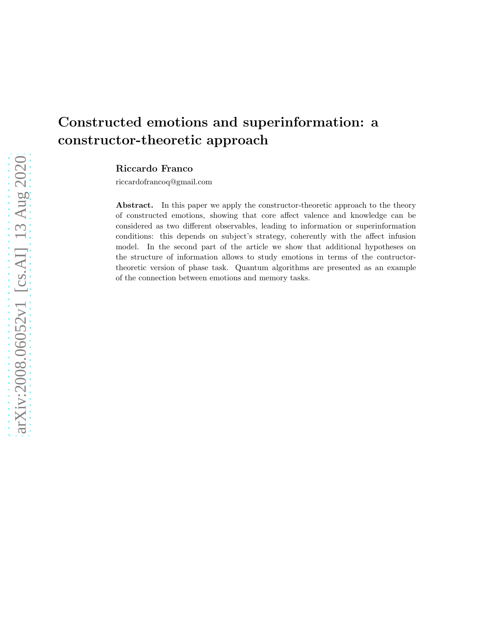# Constructed emotions and superinformation: a constructor-theoretic approach

Riccardo Franco

riccardofrancoq@gmail.com

Abstract. In this paper we apply the constructor-theoretic approach to the theory of constructed emotions, showing that core affect valence and knowledge can be considered as two different observables, leading to information or superinformation conditions: this depends on subject's strategy, coherently with the affect infusion model. In the second part of the article we show that additional hypotheses on the structure of information allows to study emotions in terms of the contructortheoretic version of phase task. Quantum algorithms are presented as an example of the connection between emotions and memory tasks.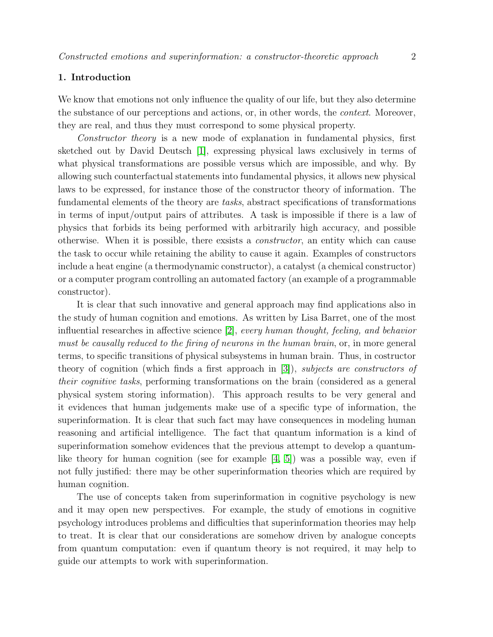# 1. Introduction

We know that emotions not only influence the quality of our life, but they also determine the substance of our perceptions and actions, or, in other words, the context. Moreover, they are real, and thus they must correspond to some physical property.

Constructor theory is a new mode of explanation in fundamental physics, first sketched out by David Deutsch [\[1\]](#page-24-0), expressing physical laws exclusively in terms of what physical transformations are possible versus which are impossible, and why. By allowing such counterfactual statements into fundamental physics, it allows new physical laws to be expressed, for instance those of the constructor theory of information. The fundamental elements of the theory are tasks, abstract specifications of transformations in terms of input/output pairs of attributes. A task is impossible if there is a law of physics that forbids its being performed with arbitrarily high accuracy, and possible otherwise. When it is possible, there exsists a constructor, an entity which can cause the task to occur while retaining the ability to cause it again. Examples of constructors include a heat engine (a thermodynamic constructor), a catalyst (a chemical constructor) or a computer program controlling an automated factory (an example of a programmable constructor).

It is clear that such innovative and general approach may find applications also in the study of human cognition and emotions. As written by Lisa Barret, one of the most influential researches in affective science [\[2\]](#page-24-1), every human thought, feeling, and behavior must be causally reduced to the firing of neurons in the human brain, or, in more general terms, to specific transitions of physical subsystems in human brain. Thus, in costructor theory of cognition (which finds a first approach in [\[3\]](#page-24-2)), subjects are constructors of their cognitive tasks, performing transformations on the brain (considered as a general physical system storing information). This approach results to be very general and it evidences that human judgements make use of a specific type of information, the superinformation. It is clear that such fact may have consequences in modeling human reasoning and artificial intelligence. The fact that quantum information is a kind of superinformation somehow evidences that the previous attempt to develop a quantumlike theory for human cognition (see for example  $[4, 5]$  $[4, 5]$ ) was a possible way, even if not fully justified: there may be other superinformation theories which are required by human cognition.

The use of concepts taken from superinformation in cognitive psychology is new and it may open new perspectives. For example, the study of emotions in cognitive psychology introduces problems and difficulties that superinformation theories may help to treat. It is clear that our considerations are somehow driven by analogue concepts from quantum computation: even if quantum theory is not required, it may help to guide our attempts to work with superinformation.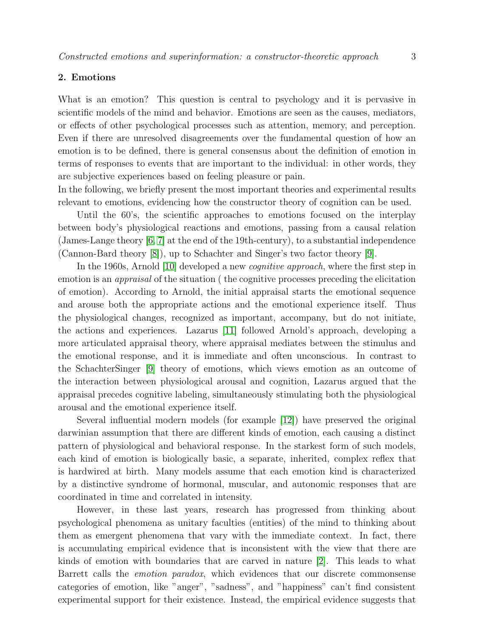# <span id="page-2-0"></span>2. Emotions

What is an emotion? This question is central to psychology and it is pervasive in scientific models of the mind and behavior. Emotions are seen as the causes, mediators, or effects of other psychological processes such as attention, memory, and perception. Even if there are unresolved disagreements over the fundamental question of how an emotion is to be defined, there is general consensus about the definition of emotion in terms of responses to events that are important to the individual: in other words, they are subjective experiences based on feeling pleasure or pain.

In the following, we briefly present the most important theories and experimental results relevant to emotions, evidencing how the constructor theory of cognition can be used.

Until the 60's, the scientific approaches to emotions focused on the interplay between body's physiological reactions and emotions, passing from a causal relation (James-Lange theory [\[6,](#page-25-1) [7\]](#page-25-2) at the end of the 19th-century), to a substantial independence (Cannon-Bard theory [\[8\]](#page-25-3)), up to Schachter and Singer's two factor theory [\[9\]](#page-25-4).

In the 1960s, Arnold [\[10\]](#page-25-5) developed a new *cognitive approach*, where the first step in emotion is an appraisal of the situation ( the cognitive processes preceding the elicitation of emotion). According to Arnold, the initial appraisal starts the emotional sequence and arouse both the appropriate actions and the emotional experience itself. Thus the physiological changes, recognized as important, accompany, but do not initiate, the actions and experiences. Lazarus [\[11\]](#page-25-6) followed Arnold's approach, developing a more articulated appraisal theory, where appraisal mediates between the stimulus and the emotional response, and it is immediate and often unconscious. In contrast to the SchachterSinger [\[9\]](#page-25-4) theory of emotions, which views emotion as an outcome of the interaction between physiological arousal and cognition, Lazarus argued that the appraisal precedes cognitive labeling, simultaneously stimulating both the physiological arousal and the emotional experience itself.

Several influential modern models (for example [\[12\]](#page-25-7)) have preserved the original darwinian assumption that there are different kinds of emotion, each causing a distinct pattern of physiological and behavioral response. In the starkest form of such models, each kind of emotion is biologically basic, a separate, inherited, complex reflex that is hardwired at birth. Many models assume that each emotion kind is characterized by a distinctive syndrome of hormonal, muscular, and autonomic responses that are coordinated in time and correlated in intensity.

However, in these last years, research has progressed from thinking about psychological phenomena as unitary faculties (entities) of the mind to thinking about them as emergent phenomena that vary with the immediate context. In fact, there is accumulating empirical evidence that is inconsistent with the view that there are kinds of emotion with boundaries that are carved in nature [\[2\]](#page-24-1). This leads to what Barrett calls the emotion paradox, which evidences that our discrete commonsense categories of emotion, like "anger", "sadness", and "happiness" can't find consistent experimental support for their existence. Instead, the empirical evidence suggests that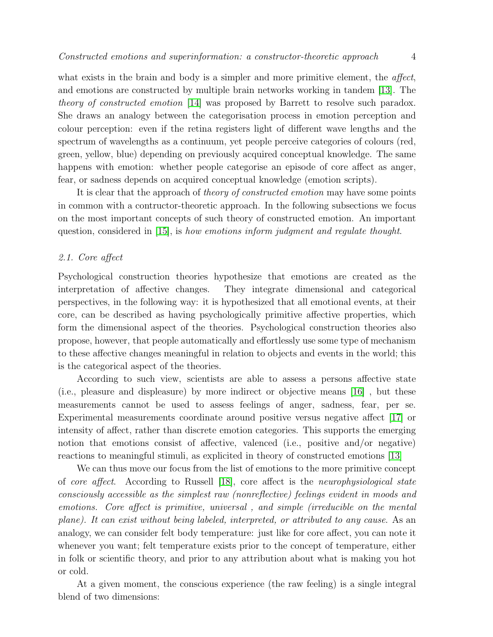what exists in the brain and body is a simpler and more primitive element, the *affect*, and emotions are constructed by multiple brain networks working in tandem [\[13\]](#page-25-8). The theory of constructed emotion [\[14\]](#page-25-9) was proposed by Barrett to resolve such paradox. She draws an analogy between the categorisation process in emotion perception and colour perception: even if the retina registers light of different wave lengths and the spectrum of wavelengths as a continuum, yet people perceive categories of colours (red, green, yellow, blue) depending on previously acquired conceptual knowledge. The same happens with emotion: whether people categorise an episode of core affect as anger, fear, or sadness depends on acquired conceptual knowledge (emotion scripts).

It is clear that the approach of theory of constructed emotion may have some points in common with a contructor-theoretic approach. In the following subsections we focus on the most important concepts of such theory of constructed emotion. An important question, considered in  $[15]$ , is how emotions inform judgment and regulate thought.

# 2.1. Core affect

Psychological construction theories hypothesize that emotions are created as the interpretation of affective changes. They integrate dimensional and categorical perspectives, in the following way: it is hypothesized that all emotional events, at their core, can be described as having psychologically primitive affective properties, which form the dimensional aspect of the theories. Psychological construction theories also propose, however, that people automatically and effortlessly use some type of mechanism to these affective changes meaningful in relation to objects and events in the world; this is the categorical aspect of the theories.

According to such view, scientists are able to assess a persons affective state (i.e., pleasure and displeasure) by more indirect or objective means [\[16\]](#page-25-11) , but these measurements cannot be used to assess feelings of anger, sadness, fear, per se. Experimental measurements coordinate around positive versus negative affect [\[17\]](#page-25-12) or intensity of affect, rather than discrete emotion categories. This supports the emerging notion that emotions consist of affective, valenced (i.e., positive and/or negative) reactions to meaningful stimuli, as explicited in theory of constructed emotions [\[13\]](#page-25-8)

We can thus move our focus from the list of emotions to the more primitive concept of core affect. According to Russell [\[18\]](#page-25-13), core affect is the neurophysiological state consciously accessible as the simplest raw (nonreflective) feelings evident in moods and emotions. Core affect is primitive, universal , and simple (irreducible on the mental plane). It can exist without being labeled, interpreted, or attributed to any cause. As an analogy, we can consider felt body temperature: just like for core affect, you can note it whenever you want; felt temperature exists prior to the concept of temperature, either in folk or scientific theory, and prior to any attribution about what is making you hot or cold.

At a given moment, the conscious experience (the raw feeling) is a single integral blend of two dimensions: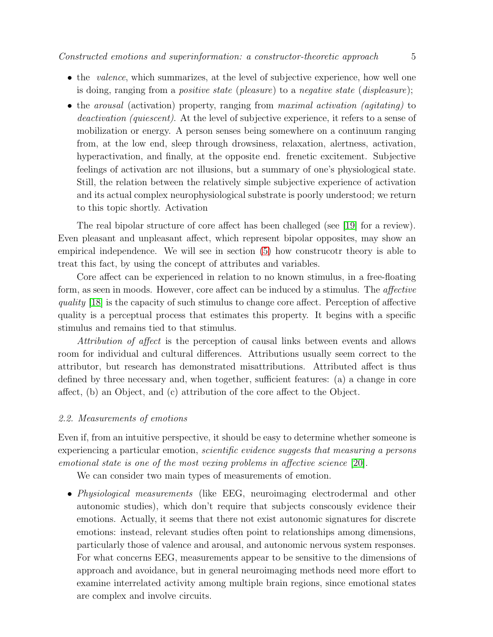- the *valence*, which summarizes, at the level of subjective experience, how well one is doing, ranging from a *positive state* (*pleasure*) to a *negative state* (*displeasure*);
- the arousal (activation) property, ranging from maximal activation (agitating) to deactivation (quiescent). At the level of subjective experience, it refers to a sense of mobilization or energy. A person senses being somewhere on a continuum ranging from, at the low end, sleep through drowsiness, relaxation, alertness, activation, hyperactivation, and finally, at the opposite end. frenetic excitement. Subjective feelings of activation arc not illusions, but a summary of one's physiological state. Still, the relation between the relatively simple subjective experience of activation and its actual complex neurophysiological substrate is poorly understood; we return to this topic shortly. Activation

The real bipolar structure of core affect has been challeged (see [\[19\]](#page-25-14) for a review). Even pleasant and unpleasant affect, which represent bipolar opposites, may show an empirical independence. We will see in section [\(5\)](#page-16-0) how construcotr theory is able to treat this fact, by using the concept of attributes and variables.

Core affect can be experienced in relation to no known stimulus, in a free-floating form, as seen in moods. However, core affect can be induced by a stimulus. The affective quality [\[18\]](#page-25-13) is the capacity of such stimulus to change core affect. Perception of affective quality is a perceptual process that estimates this property. It begins with a specific stimulus and remains tied to that stimulus.

Attribution of affect is the perception of causal links between events and allows room for individual and cultural differences. Attributions usually seem correct to the attributor, but research has demonstrated misattributions. Attributed affect is thus defined by three necessary and, when together, sufficient features: (a) a change in core affect, (b) an Object, and (c) attribution of the core affect to the Object.

#### 2.2. Measurements of emotions

Even if, from an intuitive perspective, it should be easy to determine whether someone is experiencing a particular emotion, scientific evidence suggests that measuring a persons emotional state is one of the most vexing problems in affective science [\[20\]](#page-25-15).

We can consider two main types of measurements of emotion.

• Physiological measurements (like EEG, neuroimaging electrodermal and other autonomic studies), which don't require that subjects conscously evidence their emotions. Actually, it seems that there not exist autonomic signatures for discrete emotions: instead, relevant studies often point to relationships among dimensions, particularly those of valence and arousal, and autonomic nervous system responses. For what concerns EEG, measurements appear to be sensitive to the dimensions of approach and avoidance, but in general neuroimaging methods need more effort to examine interrelated activity among multiple brain regions, since emotional states are complex and involve circuits.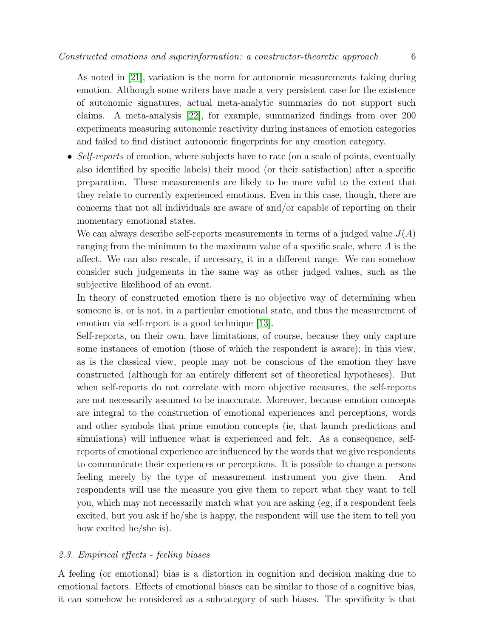As noted in [\[21\]](#page-25-16), variation is the norm for autonomic measurements taking during emotion. Although some writers have made a very persistent case for the existence of autonomic signatures, actual meta-analytic summaries do not support such claims. A meta-analysis [\[22\]](#page-25-17), for example, summarized findings from over 200 experiments measuring autonomic reactivity during instances of emotion categories and failed to find distinct autonomic fingerprints for any emotion category.

• Self-reports of emotion, where subjects have to rate (on a scale of points, eventually also identified by specific labels) their mood (or their satisfaction) after a specific preparation. These measurements are likely to be more valid to the extent that they relate to currently experienced emotions. Even in this case, though, there are concerns that not all individuals are aware of and/or capable of reporting on their momentary emotional states.

We can always describe self-reports measurements in terms of a judged value  $J(A)$ ranging from the minimum to the maximum value of a specific scale, where A is the affect. We can also rescale, if necessary, it in a different range. We can somehow consider such judgements in the same way as other judged values, such as the subjective likelihood of an event.

In theory of constructed emotion there is no objective way of determining when someone is, or is not, in a particular emotional state, and thus the measurement of emotion via self-report is a good technique [\[13\]](#page-25-8).

Self-reports, on their own, have limitations, of course, because they only capture some instances of emotion (those of which the respondent is aware); in this view, as is the classical view, people may not be conscious of the emotion they have constructed (although for an entirely different set of theoretical hypotheses). But when self-reports do not correlate with more objective measures, the self-reports are not necessarily assumed to be inaccurate. Moreover, because emotion concepts are integral to the construction of emotional experiences and perceptions, words and other symbols that prime emotion concepts (ie, that launch predictions and simulations) will influence what is experienced and felt. As a consequence, selfreports of emotional experience are influenced by the words that we give respondents to communicate their experiences or perceptions. It is possible to change a persons feeling merely by the type of measurement instrument you give them. And respondents will use the measure you give them to report what they want to tell you, which may not necessarily match what you are asking (eg, if a respondent feels excited, but you ask if he/she is happy, the respondent will use the item to tell you how excited he/she is).

# <span id="page-5-0"></span>2.3. Empirical effects - feeling biases

A feeling (or emotional) bias is a distortion in cognition and decision making due to emotional factors. Effects of emotional biases can be similar to those of a cognitive bias, it can somehow be considered as a subcategory of such biases. The specificity is that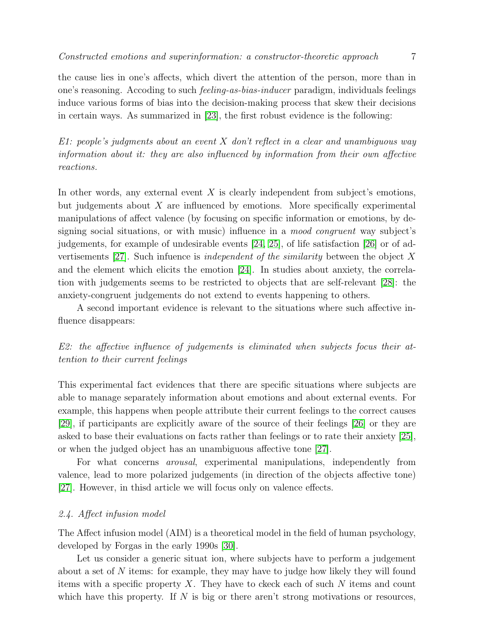in certain ways. As summarized in [\[23\]](#page-25-18), the first robust evidence is the following:

the cause lies in one's affects, which divert the attention of the person, more than in one's reasoning. Accoding to such feeling-as-bias-inducer paradigm, individuals feelings induce various forms of bias into the decision-making process that skew their decisions

E1: people's judgments about an event X don't reflect in a clear and unambiguous way information about it: they are also influenced by information from their own affective reactions.

In other words, any external event  $X$  is clearly independent from subject's emotions, but judgements about  $X$  are influenced by emotions. More specifically experimental manipulations of affect valence (by focusing on specific information or emotions, by designing social situations, or with music) influence in a mood congruent way subject's judgements, for example of undesirable events [\[24,](#page-25-19) [25\]](#page-25-20), of life satisfaction [\[26\]](#page-25-21) or of advertisements  $[27]$ . Such infuence is *independent of the similarity* between the object X and the element which elicits the emotion [\[24\]](#page-25-19). In studies about anxiety, the correlation with judgements seems to be restricted to objects that are self-relevant [\[28\]](#page-25-23): the anxiety-congruent judgements do not extend to events happening to others.

A second important evidence is relevant to the situations where such affective influence disappears:

E2: the affective influence of judgements is eliminated when subjects focus their attention to their current feelings

This experimental fact evidences that there are specific situations where subjects are able to manage separately information about emotions and about external events. For example, this happens when people attribute their current feelings to the correct causes [\[29\]](#page-25-24), if participants are explicitly aware of the source of their feelings [\[26\]](#page-25-21) or they are asked to base their evaluations on facts rather than feelings or to rate their anxiety [\[25\]](#page-25-20), or when the judged object has an unambiguous affective tone [\[27\]](#page-25-22).

For what concerns arousal, experimental manipulations, independently from valence, lead to more polarized judgements (in direction of the objects affective tone) [\[27\]](#page-25-22). However, in thisd article we will focus only on valence effects.

# 2.4. Affect infusion model

The Affect infusion model (AIM) is a theoretical model in the field of human psychology, developed by Forgas in the early 1990s [\[30\]](#page-26-0).

Let us consider a generic situat ion, where subjects have to perform a judgement about a set of  $N$  items: for example, they may have to judge how likely they will found items with a specific property  $X$ . They have to ckeck each of such  $N$  items and count which have this property. If  $N$  is big or there aren't strong motivations or resources,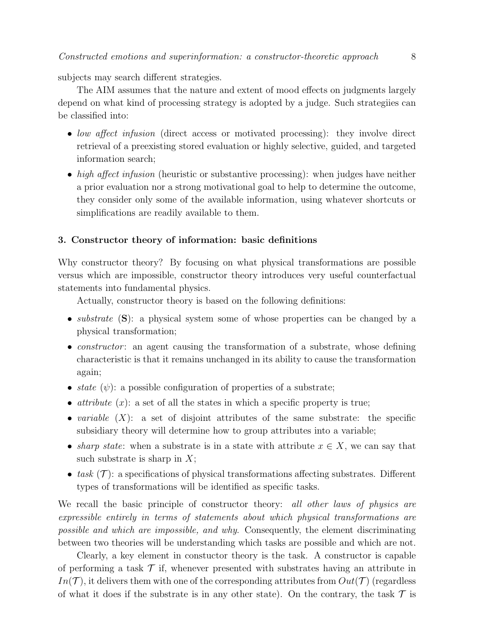subjects may search different strategies.

The AIM assumes that the nature and extent of mood effects on judgments largely depend on what kind of processing strategy is adopted by a judge. Such strategiies can be classified into:

- low affect infusion (direct access or motivated processing): they involve direct retrieval of a preexisting stored evaluation or highly selective, guided, and targeted information search;
- high affect infusion (heuristic or substantive processing): when judges have neither a prior evaluation nor a strong motivational goal to help to determine the outcome, they consider only some of the available information, using whatever shortcuts or simplifications are readily available to them.

#### 3. Constructor theory of information: basic definitions

Why constructor theory? By focusing on what physical transformations are possible versus which are impossible, constructor theory introduces very useful counterfactual statements into fundamental physics.

Actually, constructor theory is based on the following definitions:

- *substrate* (S): a physical system some of whose properties can be changed by a physical transformation;
- *constructor*: an agent causing the transformation of a substrate, whose defining characteristic is that it remains unchanged in its ability to cause the transformation again;
- state  $(\psi)$ : a possible configuration of properties of a substrate;
- attribute  $(x)$ : a set of all the states in which a specific property is true;
- variable  $(X)$ : a set of disjoint attributes of the same substrate: the specific subsidiary theory will determine how to group attributes into a variable;
- sharp state: when a substrate is in a state with attribute  $x \in X$ , we can say that such substrate is sharp in  $X$ ;
- task  $(\mathcal{T})$ : a specifications of physical transformations affecting substrates. Different types of transformations will be identified as specific tasks.

We recall the basic principle of constructor theory: all other laws of physics are expressible entirely in terms of statements about which physical transformations are possible and which are impossible, and why. Consequently, the element discriminating between two theories will be understanding which tasks are possible and which are not.

Clearly, a key element in constuctor theory is the task. A constructor is capable of performing a task  $\mathcal T$  if, whenever presented with substrates having an attribute in  $In(\mathcal{T})$ , it delivers them with one of the corresponding attributes from  $Out(\mathcal{T})$  (regardless of what it does if the substrate is in any other state). On the contrary, the task  $\mathcal T$  is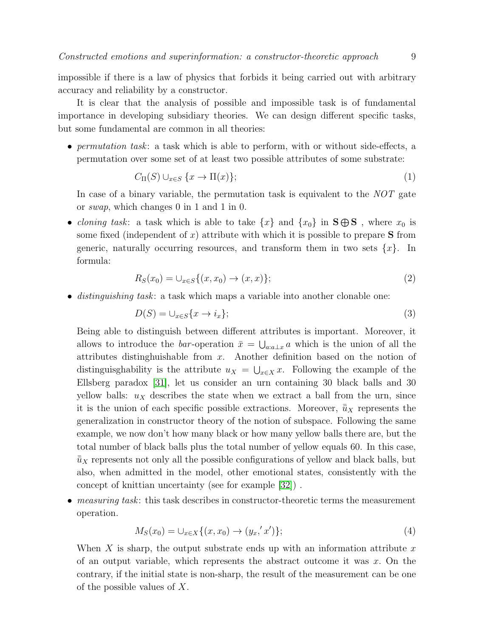impossible if there is a law of physics that forbids it being carried out with arbitrary accuracy and reliability by a constructor.

It is clear that the analysis of possible and impossible task is of fundamental importance in developing subsidiary theories. We can design different specific tasks, but some fundamental are common in all theories:

• permutation task: a task which is able to perform, with or without side-effects, a permutation over some set of at least two possible attributes of some substrate:

$$
C_{\Pi}(S) \cup_{x \in S} \{x \to \Pi(x)\};\tag{1}
$$

In case of a binary variable, the permutation task is equivalent to the NOT gate or swap, which changes 0 in 1 and 1 in 0.

• *cloning task*: a task which is able to take  $\{x\}$  and  $\{x_0\}$  in  $\mathbf{S} \oplus \mathbf{S}$ , where  $x_0$  is some fixed (independent of x) attribute with which it is possible to prepare  $S$  from generic, naturally occurring resources, and transform them in two sets  $\{x\}$ . In formula:

$$
R_S(x_0) = \cup_{x \in S} \{ (x, x_0) \to (x, x) \};\tag{2}
$$

• distinguishing task: a task which maps a variable into another clonable one:

$$
D(S) = \bigcup_{x \in S} \{x \to i_x\};\tag{3}
$$

Being able to distinguish between different attributes is important. Moreover, it allows to introduce the *bar*-operation  $\bar{x} = \bigcup_{a:a\perp x} a$  which is the union of all the attributes distinghuishable from x. Another definition based on the notion of distinguisghability is the attribute  $u_X = \bigcup_{x \in X} x$ . Following the example of the Ellsberg paradox [\[31\]](#page-26-1), let us consider an urn containing 30 black balls and 30 yellow balls:  $u<sub>X</sub>$  describes the state when we extract a ball from the urn, since it is the union of each specific possible extractions. Moreover,  $\bar{\bar{u}}_X$  represents the generalization in constructor theory of the notion of subspace. Following the same example, we now don't how many black or how many yellow balls there are, but the total number of black balls plus the total number of yellow equals 60. In this case,  $\bar{\bar{u}}_X$  represents not only all the possible configurations of yellow and black balls, but also, when admitted in the model, other emotional states, consistently with the concept of knittian uncertainty (see for example [\[32\]](#page-26-2)) .

• measuring task: this task describes in constructor-theoretic terms the measurement operation.

<span id="page-8-0"></span>
$$
M_S(x_0) = \bigcup_{x \in X} \{ (x, x_0) \to (y_x, 'x') \};\tag{4}
$$

When X is sharp, the output substrate ends up with an information attribute  $x$ of an output variable, which represents the abstract outcome it was  $x$ . On the contrary, if the initial state is non-sharp, the result of the measurement can be one of the possible values of X.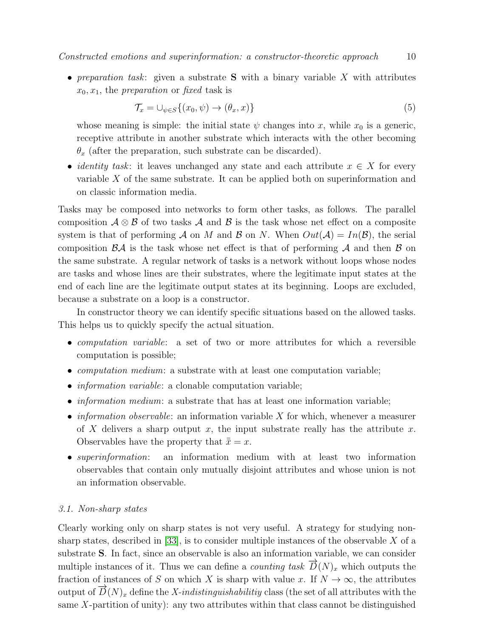• preparation task: given a substrate **S** with a binary variable  $X$  with attributes  $x_0, x_1$ , the preparation or fixed task is

$$
\mathcal{T}_x = \bigcup_{\psi \in S} \{ (x_0, \psi) \to (\theta_x, x) \} \tag{5}
$$

whose meaning is simple: the initial state  $\psi$  changes into x, while  $x_0$  is a generic, receptive attribute in another substrate which interacts with the other becoming  $\theta_x$  (after the preparation, such substrate can be discarded).

• *identity task*: it leaves unchanged any state and each attribute  $x \in X$  for every variable X of the same substrate. It can be applied both on superinformation and on classic information media.

Tasks may be composed into networks to form other tasks, as follows. The parallel composition  $\mathcal{A} \otimes \mathcal{B}$  of two tasks  $\mathcal{A}$  and  $\mathcal{B}$  is the task whose net effect on a composite system is that of performing A on M and B on N. When  $Out(A) = In(B)$ , the serial composition  $\mathcal{B}A$  is the task whose net effect is that of performing A and then  $\mathcal B$  on the same substrate. A regular network of tasks is a network without loops whose nodes are tasks and whose lines are their substrates, where the legitimate input states at the end of each line are the legitimate output states at its beginning. Loops are excluded, because a substrate on a loop is a constructor.

In constructor theory we can identify specific situations based on the allowed tasks. This helps us to quickly specify the actual situation.

- computation variable: a set of two or more attributes for which a reversible computation is possible;
- *computation medium*: a substrate with at least one computation variable;
- *information variable*: a clonable computation variable;
- *information medium*: a substrate that has at least one information variable;
- *information observable:* an information variable X for which, whenever a measurer of X delivers a sharp output x, the input substrate really has the attribute x. Observables have the property that  $\bar{\bar{x}} = x$ .
- *superinformation*: an information medium with at least two information observables that contain only mutually disjoint attributes and whose union is not an information observable.

# <span id="page-9-0"></span>3.1. Non-sharp states

Clearly working only on sharp states is not very useful. A strategy for studying non-sharp states, described in [\[33\]](#page-26-3), is to consider multiple instances of the observable  $X$  of a substrate S. In fact, since an observable is also an information variable, we can consider multiple instances of it. Thus we can define a *counting task*  $\overrightarrow{D}(N)_x$  which outputs the fraction of instances of S on which X is sharp with value x. If  $N \to \infty$ , the attributes output of  $\overrightarrow{D}(N)_x$  define the X-indistinguishabilitiy class (the set of all attributes with the same  $X$ -partition of unity): any two attributes within that class cannot be distinguished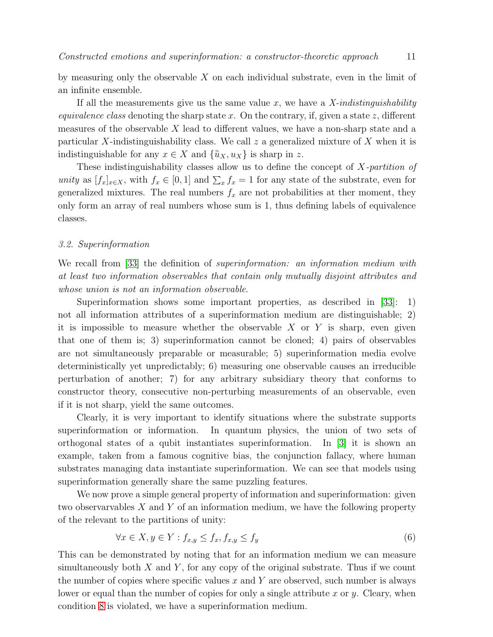by measuring only the observable  $X$  on each individual substrate, even in the limit of an infinite ensemble.

If all the measurements give us the same value x, we have a  $X$ -indistinguishability *equivalence class* denoting the sharp state x. On the contrary, if, given a state z, different measures of the observable X lead to different values, we have a non-sharp state and a particular X-indistinguishability class. We call  $z$  a generalized mixture of X when it is indistinguishable for any  $x \in X$  and  $\{\bar{u}_X, u_X\}$  is sharp in z.

These indistinguishability classes allow us to define the concept of X-partition of unity as  $[f_x]_{x \in X}$ , with  $f_x \in [0,1]$  and  $\sum_x f_x = 1$  for any state of the substrate, even for generalized mixtures. The real numbers  $f_x$  are not probabilities at ther moment, they only form an array of real numbers whose sum is 1, thus defining labels of equivalence classes.

#### 3.2. Superinformation

We recall from [\[33\]](#page-26-3) the definition of *superinformation: an information medium with* at least two information observables that contain only mutually disjoint attributes and whose union is not an information observable.

Superinformation shows some important properties, as described in [\[33\]](#page-26-3): 1) not all information attributes of a superinformation medium are distinguishable; 2) it is impossible to measure whether the observable  $X$  or  $Y$  is sharp, even given that one of them is; 3) superinformation cannot be cloned; 4) pairs of observables are not simultaneously preparable or measurable; 5) superinformation media evolve deterministically yet unpredictably; 6) measuring one observable causes an irreducible perturbation of another; 7) for any arbitrary subsidiary theory that conforms to constructor theory, consecutive non-perturbing measurements of an observable, even if it is not sharp, yield the same outcomes.

Clearly, it is very important to identify situations where the substrate supports superinformation or information. In quantum physics, the union of two sets of orthogonal states of a qubit instantiates superinformation. In [\[3\]](#page-24-2) it is shown an example, taken from a famous cognitive bias, the conjunction fallacy, where human substrates managing data instantiate superinformation. We can see that models using superinformation generally share the same puzzling features.

We now prove a simple general property of information and superinformation: given two observaryables  $X$  and  $Y$  of an information medium, we have the following property of the relevant to the partitions of unity:

$$
\forall x \in X, y \in Y : f_{x,y} \le f_x, f_{x,y} \le f_y \tag{6}
$$

This can be demonstrated by noting that for an information medium we can measure simultaneously both  $X$  and  $Y$ , for any copy of the original substrate. Thus if we count the number of copies where specific values x and Y are observed, such number is always lower or equal than the number of copies for only a single attribute x or y. Cleary, when condition [8](#page-14-0) is violated, we have a superinformation medium.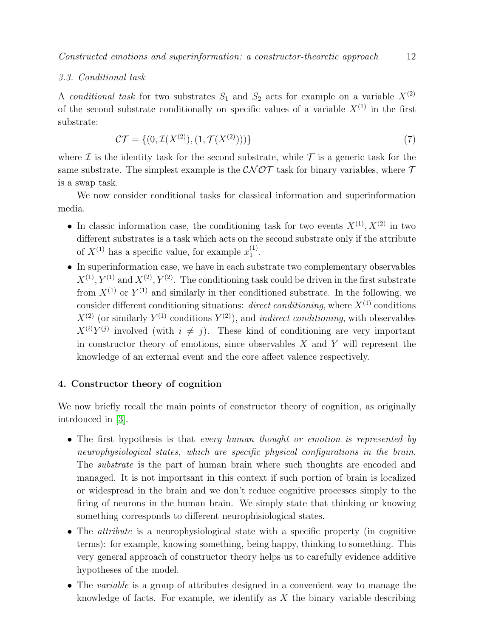# <span id="page-11-1"></span>3.3. Conditional task

A *conditional task* for two substrates  $S_1$  and  $S_2$  acts for example on a variable  $X^{(2)}$ of the second substrate conditionally on specific values of a variable  $X^{(1)}$  in the first substrate:

$$
\mathcal{CT} = \{ (0, \mathcal{I}(X^{(2)}), (1, \mathcal{T}(X^{(2)}))) \} \tag{7}
$$

where  $\mathcal I$  is the identity task for the second substrate, while  $\mathcal T$  is a generic task for the same substrate. The simplest example is the  $\mathcal{CNOT}$  task for binary variables, where  $\mathcal T$ is a swap task.

We now consider conditional tasks for classical information and superinformation media.

- In classic information case, the conditioning task for two events  $X^{(1)}, X^{(2)}$  in two different substrates is a task which acts on the second substrate only if the attribute of  $X^{(1)}$  has a specific value, for example  $x_1^{(1)}$  $\frac{(1)}{1}$ .
- In superinformation case, we have in each substrate two complementary observables  $X^{(1)}, Y^{(1)}$  and  $X^{(2)}, Y^{(2)}$ . The conditioning task could be driven in the first substrate from  $X^{(1)}$  or  $Y^{(1)}$  and similarly in ther conditioned substrate. In the following, we consider different conditioning situations: *direct conditioning*, where  $X^{(1)}$  conditions  $X^{(2)}$  (or similarly  $Y^{(1)}$  conditions  $Y^{(2)}$ ), and *indirect conditioning*, with observables  $X^{(i)}Y^{(j)}$  involved (with  $i \neq j$ ). These kind of conditioning are very important in constructor theory of emotions, since observables  $X$  and  $Y$  will represent the knowledge of an external event and the core affect valence respectively.

# <span id="page-11-0"></span>4. Constructor theory of cognition

We now briefly recall the main points of constructor theory of cognition, as originally intrdouced in [\[3\]](#page-24-2).

- The first hypothesis is that *every human thought or emotion is represented by* neurophysiological states, which are specific physical configurations in the brain. The substrate is the part of human brain where such thoughts are encoded and managed. It is not importsant in this context if such portion of brain is localized or widespread in the brain and we don't reduce cognitive processes simply to the firing of neurons in the human brain. We simply state that thinking or knowing something corresponds to different neurophisiological states.
- The *attribute* is a neurophysiological state with a specific property (in cognitive terms): for example, knowing something, being happy, thinking to something. This very general approach of constructor theory helps us to carefully evidence additive hypotheses of the model.
- The *variable* is a group of attributes designed in a convenient way to manage the knowledge of facts. For example, we identify as  $X$  the binary variable describing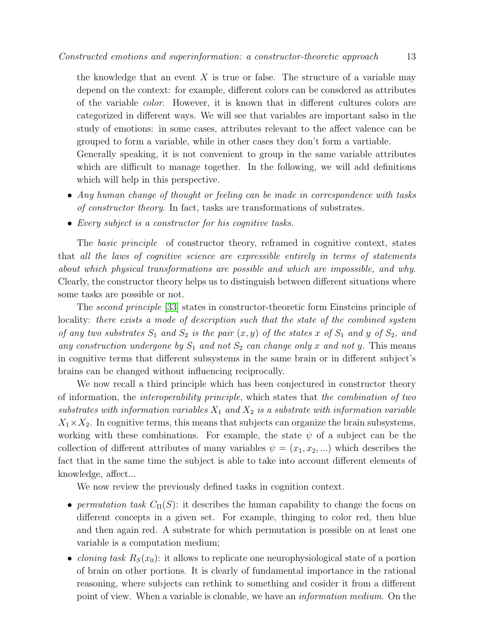the knowledge that an event  $X$  is true or false. The structure of a variable may depend on the context: for example, different colors can be consdered as attributes of the variable color. However, it is known that in different cultures colors are categorized in different ways. We will see that variables are important salso in the study of emotions: in some cases, attributes relevant to the affect valence can be grouped to form a variable, while in other cases they don't form a vartiable. Generally speaking, it is not convenient to group in the same variable attributes

which are difficult to manage together. In the following, we will add definitions which will help in this perspective.

- Any human change of thought or feeling can be made in correspondence with tasks of constructor theory. In fact, tasks are transformations of substrates.
- Every subject is a constructor for his cognitive tasks.

The *basic principle* of constructor theory, reframed in cognitive context, states that all the laws of cognitive science are expressible entirely in terms of statements about which physical transformations are possible and which are impossible, and why. Clearly, the constructor theory helps us to distinguish between different situations where some tasks are possible or not.

The second principle [\[33\]](#page-26-3) states in constructor-theoretic form Einsteins principle of locality: there exists a mode of description such that the state of the combined system of any two substrates  $S_1$  and  $S_2$  is the pair  $(x, y)$  of the states x of  $S_1$  and y of  $S_2$ , and any construction undergone by  $S_1$  and not  $S_2$  can change only x and not y. This means in cognitive terms that different subsystems in the same brain or in different subject's brains can be changed without influencing reciprocally.

We now recall a third principle which has been conjectured in constructor theory of information, the interoperability principle, which states that the combination of two substrates with information variables  $X_1$  and  $X_2$  is a substrate with information variable  $X_1 \times X_2$ . In cognitive terms, this means that subjects can organize the brain subsystems, working with these combinations. For example, the state  $\psi$  of a subject can be the collection of different attributes of many variables  $\psi = (x_1, x_2, \dots)$  which describes the fact that in the same time the subject is able to take into account different elements of knowledge, affect...

We now review the previously defined tasks in cognition context.

- permutation task  $C_{\Pi}(S)$ : it describes the human capability to change the focus on different concepts in a given set. For example, thinging to color red, then blue and then again red. A substrate for which permutation is possible on at least one variable is a computation medium;
- *cloning task*  $R_S(x_0)$ : it allows to replicate one neurophysiological state of a portion of brain on other portions. It is clearly of fundamental importance in the rational reasoning, where subjects can rethink to something and cosider it from a different point of view. When a variable is clonable, we have an *information medium*. On the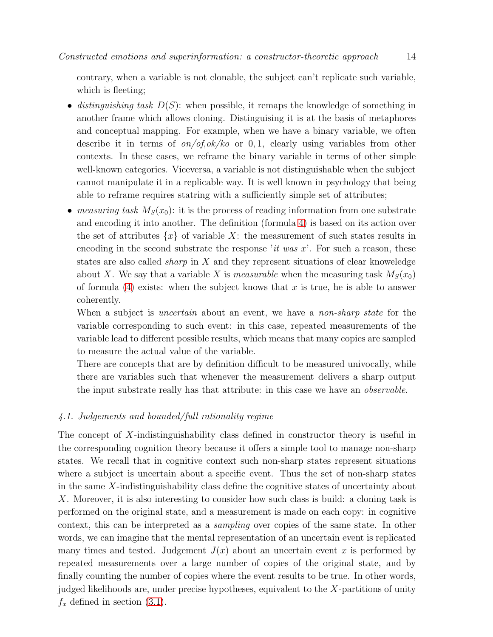contrary, when a variable is not clonable, the subject can't replicate such variable, which is fleeting:

- distinguishing task  $D(S)$ : when possible, it remaps the knowledge of something in another frame which allows cloning. Distinguising it is at the basis of metaphores and conceptual mapping. For example, when we have a binary variable, we often describe it in terms of  $\frac{\partial n}{\partial s}$ ,  $\frac{\partial k}{\partial s}$  or 0, 1, clearly using variables from other contexts. In these cases, we reframe the binary variable in terms of other simple well-known categories. Viceversa, a variable is not distinguishable when the subject cannot manipulate it in a replicable way. It is well known in psychology that being able to reframe requires statring with a sufficiently simple set of attributes;
- measuring task  $M_S(x_0)$ : it is the process of reading information from one substrate and encoding it into another. The definition (formula [4\)](#page-8-0) is based on its action over the set of attributes  $\{x\}$  of variable X: the measurement of such states results in encoding in the second substrate the response 'it was  $x$ '. For such a reason, these states are also called sharp in X and they represent situations of clear knoweledge about X. We say that a variable X is *measurable* when the measuring task  $M_S(x_0)$ of formula [\(4\)](#page-8-0) exists: when the subject knows that  $x$  is true, he is able to answer coherently.

When a subject is *uncertain* about an event, we have a *non-sharp state* for the variable corresponding to such event: in this case, repeated measurements of the variable lead to different possible results, which means that many copies are sampled to measure the actual value of the variable.

There are concepts that are by definition difficult to be measured univocally, while there are variables such that whenever the measurement delivers a sharp output the input substrate really has that attribute: in this case we have an observable.

# 4.1. Judgements and bounded/full rationality regime

The concept of X-indistinguishability class defined in constructor theory is useful in the corresponding cognition theory because it offers a simple tool to manage non-sharp states. We recall that in cognitive context such non-sharp states represent situations where a subject is uncertain about a specific event. Thus the set of non-sharp states in the same  $X$ -indistinguishability class define the cognitive states of uncertainty about X. Moreover, it is also interesting to consider how such class is build: a cloning task is performed on the original state, and a measurement is made on each copy: in cognitive context, this can be interpreted as a sampling over copies of the same state. In other words, we can imagine that the mental representation of an uncertain event is replicated many times and tested. Judgement  $J(x)$  about an uncertain event x is performed by repeated measurements over a large number of copies of the original state, and by finally counting the number of copies where the event results to be true. In other words, judged likelihoods are, under precise hypotheses, equivalent to the X-partitions of unity  $f_x$  defined in section [\(3.1\)](#page-9-0).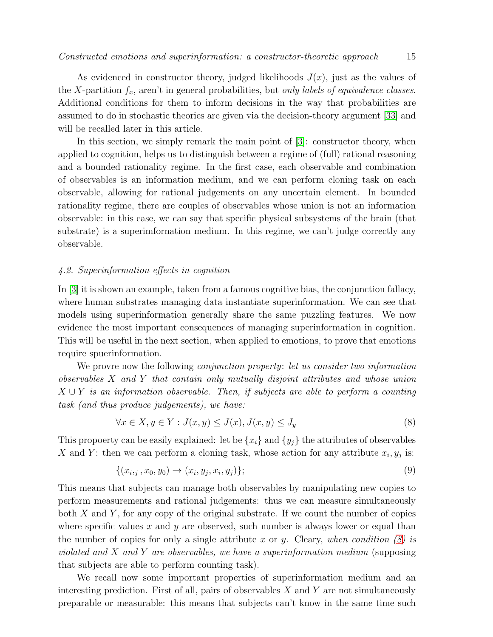As evidenced in constructor theory, judged likelihoods  $J(x)$ , just as the values of the X-partition  $f_x$ , aren't in general probabilities, but only labels of equivalence classes. Additional conditions for them to inform decisions in the way that probabilities are assumed to do in stochastic theories are given via the decision-theory argument [\[33\]](#page-26-3) and will be recalled later in this article.

In this section, we simply remark the main point of [\[3\]](#page-24-2): constructor theory, when applied to cognition, helps us to distinguish between a regime of (full) rational reasoning and a bounded rationality regime. In the first case, each observable and combination of observables is an information medium, and we can perform cloning task on each observable, allowing for rational judgements on any uncertain element. In bounded rationality regime, there are couples of observables whose union is not an information observable: in this case, we can say that specific physical subsystems of the brain (that substrate) is a superimfornation medium. In this regime, we can't judge correctly any observable.

## <span id="page-14-1"></span>4.2. Superinformation effects in cognition

In [\[3\]](#page-24-2) it is shown an example, taken from a famous cognitive bias, the conjunction fallacy, where human substrates managing data instantiate superinformation. We can see that models using superinformation generally share the same puzzling features. We now evidence the most important consequences of managing superinformation in cognition. This will be useful in the next section, when applied to emotions, to prove that emotions require spuerinformation.

We provre now the following *conjunction property:* let us consider two information observables X and Y that contain only mutually disjoint attributes and whose union  $X \cup Y$  is an information observable. Then, if subjects are able to perform a counting task (and thus produce judgements), we have:

<span id="page-14-0"></span>
$$
\forall x \in X, y \in Y : J(x, y) \le J(x), J(x, y) \le J_y \tag{8}
$$

This propoerty can be easily explained: let be  $\{x_i\}$  and  $\{y_j\}$  the attributes of observables X and Y: then we can perform a cloning task, whose action for any attribute  $x_i, y_j$  is:

$$
\{(x_{i,j}, x_0, y_0) \to (x_i, y_j, x_i, y_j)\};\tag{9}
$$

This means that subjects can manage both observables by manipulating new copies to perform measurements and rational judgements: thus we can measure simultaneously both  $X$  and  $Y$ , for any copy of the original substrate. If we count the number of copies where specific values x and y are observed, such number is always lower or equal than the number of copies for only a single attribute x or y. Cleary, when condition  $(8)$  is violated and X and Y are observables, we have a superinformation medium (supposing that subjects are able to perform counting task).

We recall now some important properties of superinformation medium and an interesting prediction. First of all, pairs of observables  $X$  and  $Y$  are not simultaneously preparable or measurable: this means that subjects can't know in the same time such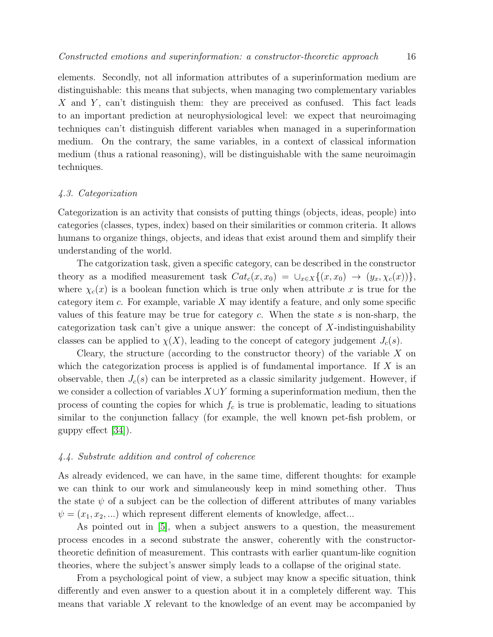elements. Secondly, not all information attributes of a superinformation medium are distinguishable: this means that subjects, when managing two complementary variables X and Y, can't distinguish them: they are preceived as confused. This fact leads to an important prediction at neurophysiological level: we expect that neuroimaging techniques can't distinguish different variables when managed in a superinformation medium. On the contrary, the same variables, in a context of classical information medium (thus a rational reasoning), will be distinguishable with the same neuroimagin techniques.

#### 4.3. Categorization

Categorization is an activity that consists of putting things (objects, ideas, people) into categories (classes, types, index) based on their similarities or common criteria. It allows humans to organize things, objects, and ideas that exist around them and simplify their understanding of the world.

The catgorization task, given a specific category, can be described in the constructor theory as a modified measurement task  $Cat_c(x, x_0) = \bigcup_{x \in X} \{(x, x_0) \to (y_x, \chi_c(x))\},\$ where  $\chi_c(x)$  is a boolean function which is true only when attribute x is true for the category item c. For example, variable  $X$  may identify a feature, and only some specific values of this feature may be true for category c. When the state  $s$  is non-sharp, the categorization task can't give a unique answer: the concept of X-indistinguishability classes can be applied to  $\chi(X)$ , leading to the concept of category judgement  $J_c(s)$ .

Cleary, the structure (according to the constructor theory) of the variable  $X$  on which the categorization process is applied is of fundamental importance. If  $X$  is an observable, then  $J_c(s)$  can be interpreted as a classic similarity judgement. However, if we consider a collection of variables  $X \cup Y$  forming a superinformation medium, then the process of counting the copies for which  $f_c$  is true is problematic, leading to situations similar to the conjunction fallacy (for example, the well known pet-fish problem, or guppy effect [\[34\]](#page-26-4)).

#### 4.4. Substrate addition and control of coherence

As already evidenced, we can have, in the same time, different thoughts: for example we can think to our work and simulaneously keep in mind something other. Thus the state  $\psi$  of a subject can be the collection of different attributes of many variables  $\psi = (x_1, x_2, ...)$  which represent different elements of knowledge, affect...

As pointed out in [\[5\]](#page-25-0), when a subject answers to a question, the measurement process encodes in a second substrate the answer, coherently with the constructortheoretic definition of measurement. This contrasts with earlier quantum-like cognition theories, where the subject's answer simply leads to a collapse of the original state.

From a psychological point of view, a subject may know a specific situation, think differently and even answer to a question about it in a completely different way. This means that variable X relevant to the knowledge of an event may be accompanied by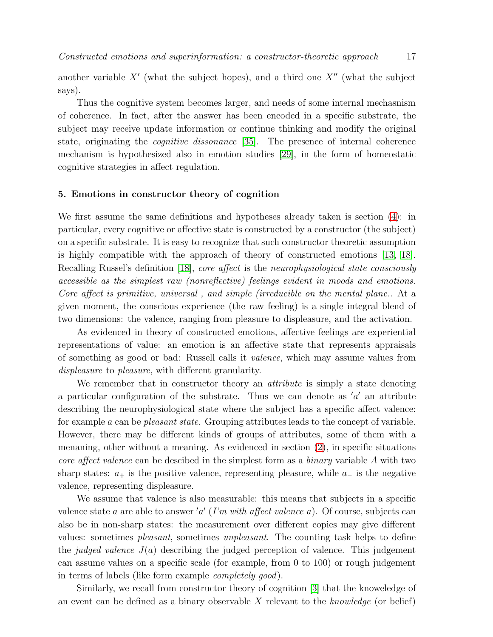another variable  $X'$  (what the subject hopes), and a third one  $X''$  (what the subject says).

Thus the cognitive system becomes larger, and needs of some internal mechasnism of coherence. In fact, after the answer has been encoded in a specific substrate, the subject may receive update information or continue thinking and modify the original state, originating the cognitive dissonance [\[35\]](#page-26-5). The presence of internal coherence mechanism is hypothesized also in emotion studies [\[29\]](#page-25-24), in the form of homeostatic cognitive strategies in affect regulation.

# <span id="page-16-0"></span>5. Emotions in constructor theory of cognition

We first assume the same definitions and hypotheses already taken is section [\(4\)](#page-11-0): in particular, every cognitive or affective state is constructed by a constructor (the subject) on a specific substrate. It is easy to recognize that such constructor theoretic assumption is highly compatible with the approach of theory of constructed emotions [\[13,](#page-25-8) [18\]](#page-25-13). Recalling Russel's definition [\[18\]](#page-25-13), core affect is the neurophysiological state consciously accessible as the simplest raw (nonreflective) feelings evident in moods and emotions. Core affect is primitive, universal , and simple (irreducible on the mental plane.. At a given moment, the conscious experience (the raw feeling) is a single integral blend of two dimensions: the valence, ranging from pleasure to displeasure, and the activation.

As evidenced in theory of constructed emotions, affective feelings are experiential representations of value: an emotion is an affective state that represents appraisals of something as good or bad: Russell calls it valence, which may assume values from displeasure to pleasure, with different granularity.

We remember that in constructor theory an *attribute* is simply a state denoting a particular configuration of the substrate. Thus we can denote as  $'a'$  an attribute describing the neurophysiological state where the subject has a specific affect valence: for example a can be pleasant state. Grouping attributes leads to the concept of variable. However, there may be different kinds of groups of attributes, some of them with a menaning, other without a meaning. As evidenced in section [\(2\)](#page-2-0), in specific situations core affect valence can be descibed in the simplest form as a binary variable A with two sharp states:  $a_+$  is the positive valence, representing pleasure, while  $a_-$  is the negative valence, representing displeasure.

We assume that valence is also measurable: this means that subjects in a specific valence state a are able to answer 'a'  $(I'm\ with\ affect\ valence\ a)$ . Of course, subjects can also be in non-sharp states: the measurement over different copies may give different values: sometimes pleasant, sometimes unpleasant. The counting task helps to define the *judged valence*  $J(a)$  describing the judged perception of valence. This judgement can assume values on a specific scale (for example, from 0 to 100) or rough judgement in terms of labels (like form example completely good).

Similarly, we recall from constructor theory of cognition [\[3\]](#page-24-2) that the knoweledge of an event can be defined as a binary observable  $X$  relevant to the knowledge (or belief)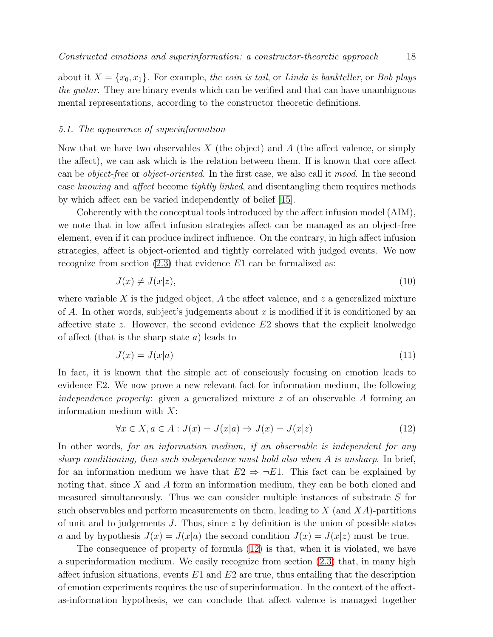about it  $X = \{x_0, x_1\}$ . For example, the coin is tail, or Linda is bankteller, or Bob plays the guitar. They are binary events which can be verified and that can have unambiguous mental representations, according to the constructor theoretic definitions.

#### <span id="page-17-1"></span>5.1. The appearence of superinformation

Now that we have two observables  $X$  (the object) and  $A$  (the affect valence, or simply the affect), we can ask which is the relation between them. If is known that core affect can be object-free or object-oriented. In the first case, we also call it mood. In the second case knowing and affect become tightly linked, and disentangling them requires methods by which affect can be varied independently of belief [\[15\]](#page-25-10).

Coherently with the conceptual tools introduced by the affect infusion model (AIM), we note that in low affect infusion strategies affect can be managed as an object-free element, even if it can produce indirect influence. On the contrary, in high affect infusion strategies, affect is object-oriented and tightly correlated with judged events. We now recognize from section  $(2.3)$  that evidence E1 can be formalized as:

$$
J(x) \neq J(x|z),\tag{10}
$$

where variable X is the judged object, A the affect valence, and z a generalized mixture of A. In other words, subject's judgements about x is modified if it is conditioned by an affective state z. However, the second evidence  $E2$  shows that the explicit knolwedge of affect (that is the sharp state  $a$ ) leads to

$$
J(x) = J(x|a) \tag{11}
$$

In fact, it is known that the simple act of consciously focusing on emotion leads to evidence E2. We now prove a new relevant fact for information medium, the following independence property: given a generalized mixture  $z$  of an observable A forming an information medium with  $X$ :

<span id="page-17-0"></span>
$$
\forall x \in X, a \in A : J(x) = J(x|a) \Rightarrow J(x) = J(x|z)
$$
\n
$$
(12)
$$

In other words, for an information medium, if an observable is independent for any sharp conditioning, then such independence must hold also when A is unsharp. In brief, for an information medium we have that  $E2 \Rightarrow \neg E1$ . This fact can be explained by noting that, since X and A form an information medium, they can be both cloned and measured simultaneously. Thus we can consider multiple instances of substrate S for such observables and perform measurements on them, leading to  $X$  (and  $XA$ )-partitions of unit and to judgements J. Thus, since  $z$  by definition is the union of possible states a and by hypothesis  $J(x) = J(x|a)$  the second condition  $J(x) = J(x|z)$  must be true.

The consequence of property of formula [\(12\)](#page-17-0) is that, when it is violated, we have a superinformation medium. We easily recognize from section [\(2.3\)](#page-5-0) that, in many high affect infusion situations, events  $E1$  and  $E2$  are true, thus entailing that the description of emotion experiments requires the use of superinformation. In the context of the affectas-information hypothesis, we can conclude that affect valence is managed together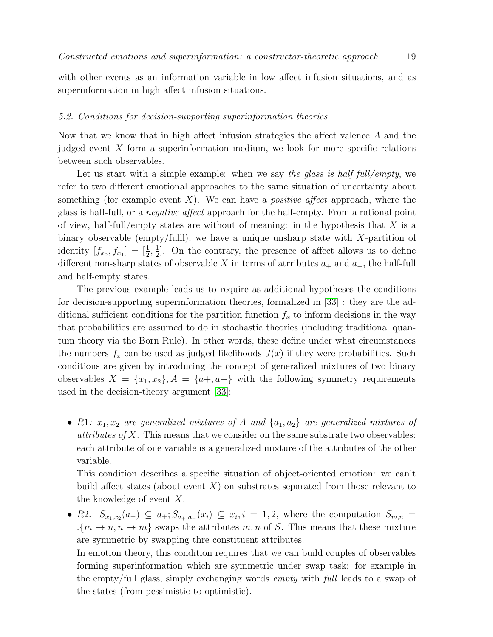with other events as an information variable in low affect infusion situations, and as superinformation in high affect infusion situations.

## <span id="page-18-0"></span>5.2. Conditions for decision-supporting superinformation theories

Now that we know that in high affect infusion strategies the affect valence A and the judged event  $X$  form a superinformation medium, we look for more specific relations between such observables.

Let us start with a simple example: when we say the glass is half full/empty, we refer to two different emotional approaches to the same situation of uncertainty about something (for example event  $X$ ). We can have a *positive affect* approach, where the glass is half-full, or a negative affect approach for the half-empty. From a rational point of view, half-full/empty states are without of meaning: in the hypothesis that  $X$  is a binary observable (empty/fulll), we have a unique unsharp state with  $X$ -partition of identity  $[f_{x_0}, f_{x_1}] = \left[\frac{1}{2}, \frac{1}{2}\right]$  $\frac{1}{2}$ . On the contrary, the presence of affect allows us to define different non-sharp states of observable X in terms of atrributes  $a_+$  and  $a_-$ , the half-full and half-empty states.

The previous example leads us to require as additional hypotheses the conditions for decision-supporting superinformation theories, formalized in [\[33\]](#page-26-3) : they are the additional sufficient conditions for the partition function  $f_x$  to inform decisions in the way that probabilities are assumed to do in stochastic theories (including traditional quantum theory via the Born Rule). In other words, these define under what circumstances the numbers  $f_x$  can be used as judged likelihoods  $J(x)$  if they were probabilities. Such conditions are given by introducing the concept of generalized mixtures of two binary observables  $X = \{x_1, x_2\}, A = \{a+, a-\}$  with the following symmetry requirements used in the decision-theory argument [\[33\]](#page-26-3):

• R1:  $x_1, x_2$  are generalized mixtures of A and  $\{a_1, a_2\}$  are generalized mixtures of attributes of X. This means that we consider on the same substrate two observables: each attribute of one variable is a generalized mixture of the attributes of the other variable.

This condition describes a specific situation of object-oriented emotion: we can't build affect states (about event  $X$ ) on substrates separated from those relevant to the knowledge of event X.

• R2.  $S_{x_1,x_2}(a_\pm) \subseteq a_\pm; S_{a_+,a_-}(x_i) \subseteq x_i, i = 1,2$ , where the computation  $S_{m,n} =$  $\{m \to n, n \to m\}$  swaps the attributes m, n of S. This means that these mixture are symmetric by swapping thre constituent attributes. In emotion theory, this condition requires that we can build couples of observables forming superinformation which are symmetric under swap task: for example in the empty/full glass, simply exchanging words empty with full leads to a swap of

the states (from pessimistic to optimistic).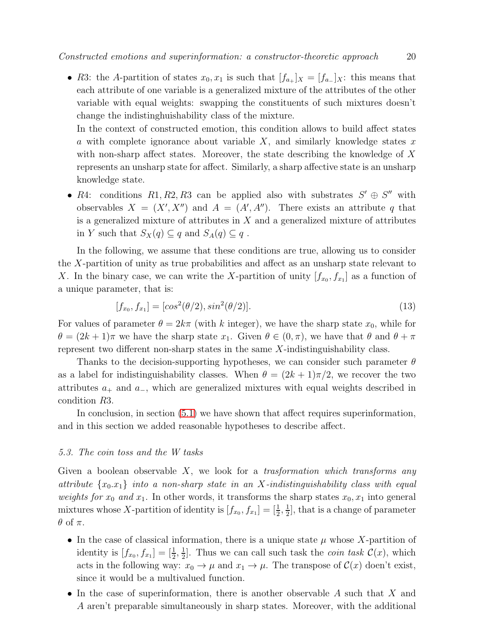• R3: the A-partition of states  $x_0, x_1$  is such that  $[f_{a_+}]_X = [f_{a_-}]_X$ : this means that each attribute of one variable is a generalized mixture of the attributes of the other variable with equal weights: swapping the constituents of such mixtures doesn't change the indistinghuishability class of the mixture.

In the context of constructed emotion, this condition allows to build affect states a with complete ignorance about variable  $X$ , and similarly knowledge states x with non-sharp affect states. Moreover, the state describing the knowledge of X represents an unsharp state for affect. Similarly, a sharp affective state is an unsharp knowledge state.

• R4: conditions R1, R2, R3 can be applied also with substrates  $S' \oplus S''$  with observables  $X = (X', X'')$  and  $A = (A', A'')$ . There exists an attribute q that is a generalized mixture of attributes in  $X$  and a generalized mixture of attributes in Y such that  $S_X(q) \subseteq q$  and  $S_A(q) \subseteq q$ .

In the following, we assume that these conditions are true, allowing us to consider the X-partition of unity as true probabilities and affect as an unsharp state relevant to X. In the binary case, we can write the X-partition of unity  $[f_{x_0}, f_{x_1}]$  as a function of a unique parameter, that is:

$$
[f_{x_0}, f_{x_1}] = [\cos^2(\theta/2), \sin^2(\theta/2)]. \tag{13}
$$

For values of parameter  $\theta = 2k\pi$  (with k integer), we have the sharp state  $x_0$ , while for  $\theta = (2k+1)\pi$  we have the sharp state  $x_1$ . Given  $\theta \in (0,\pi)$ , we have that  $\theta$  and  $\theta + \pi$ represent two different non-sharp states in the same X-indistinguishability class.

Thanks to the decision-supporting hypotheses, we can consider such parameter  $\theta$ as a label for indistinguishability classes. When  $\theta = (2k+1)\pi/2$ , we recover the two attributes  $a_+$  and  $a_-$ , which are generalized mixtures with equal weights described in condition R3.

In conclusion, in section [\(5.1\)](#page-17-1) we have shown that affect requires superinformation, and in this section we added reasonable hypotheses to describe affect.

# 5.3. The coin toss and the W tasks

Given a boolean observable  $X$ , we look for a trasformation which transforms any attribute  $\{x_0.x_1\}$  into a non-sharp state in an X-indistinguishability class with equal weights for  $x_0$  and  $x_1$ . In other words, it transforms the sharp states  $x_0, x_1$  into general mixtures whose X-partition of identity is  $[f_{x_0}, f_{x_1}] = \left[\frac{1}{2}, \frac{1}{2}\right]$  $\frac{1}{2}$ , that is a change of parameter  $\theta$  of  $\pi$ .

- In the case of classical information, there is a unique state  $\mu$  whose X-partition of identity is  $[f_{x_0}, f_{x_1}] = \left[\frac{1}{2}, \frac{1}{2}\right]$  $\frac{1}{2}$ . Thus we can call such task the *coin task*  $\mathcal{C}(x)$ , which acts in the following way:  $x_0 \to \mu$  and  $x_1 \to \mu$ . The transpose of  $\mathcal{C}(x)$  doen't exist, since it would be a multivalued function.
- In the case of superinformation, there is another observable  $A$  such that  $X$  and A aren't preparable simultaneously in sharp states. Moreover, with the additional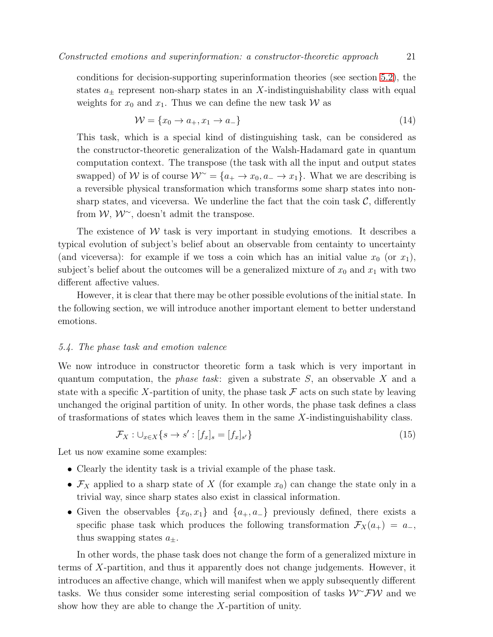$$
\mathcal{W} = \{x_0 \to a_+, x_1 \to a_-\}\tag{14}
$$

This task, which is a special kind of distinguishing task, can be considered as the constructor-theoretic generalization of the Walsh-Hadamard gate in quantum computation context. The transpose (the task with all the input and output states swapped) of W is of course  $W^{\sim} = \{a_+ \to x_0, a_- \to x_1\}$ . What we are describing is a reversible physical transformation which transforms some sharp states into nonsharp states, and viceversa. We underline the fact that the coin task  $\mathcal{C}$ , differently from  $W, W^{\sim}$ , doesn't admit the transpose.

The existence of  $W$  task is very important in studying emotions. It describes a typical evolution of subject's belief about an observable from centainty to uncertainty (and viceversa): for example if we toss a coin which has an initial value  $x_0$  (or  $x_1$ ), subject's belief about the outcomes will be a generalized mixture of  $x_0$  and  $x_1$  with two different affective values.

However, it is clear that there may be other possible evolutions of the initial state. In the following section, we will introduce another important element to better understand emotions.

# <span id="page-20-0"></span>5.4. The phase task and emotion valence

We now introduce in constructor theoretic form a task which is very important in quantum computation, the *phase task*: given a substrate  $S$ , an observable  $X$  and a state with a specific X-partition of unity, the phase task  $\mathcal F$  acts on such state by leaving unchanged the original partition of unity. In other words, the phase task defines a class of trasformations of states which leaves them in the same  $X$ -indistinguishability class.

$$
\mathcal{F}_X: \bigcup_{x \in X} \{s \to s': [f_x]_s = [f_x]_{s'}\} \tag{15}
$$

Let us now examine some examples:

- Clearly the identity task is a trivial example of the phase task.
- $\mathcal{F}_X$  applied to a sharp state of X (for example  $x_0$ ) can change the state only in a trivial way, since sharp states also exist in classical information.
- Given the observables  $\{x_0, x_1\}$  and  $\{a_+, a_-\}$  previously defined, there exists a specific phase task which produces the following transformation  $\mathcal{F}_X(a_+) = a_-,$ thus swapping states  $a_{\pm}$ .

In other words, the phase task does not change the form of a generalized mixture in terms of X-partition, and thus it apparently does not change judgements. However, it introduces an affective change, which will manifest when we apply subsequently different tasks. We thus consider some interesting serial composition of tasks  $W^{\sim} \mathcal{FW}$  and we show how they are able to change the X-partition of unity.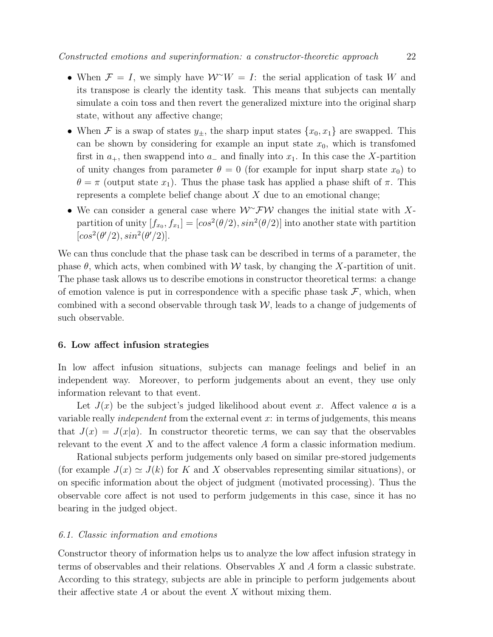- When  $\mathcal{F} = I$ , we simply have  $\mathcal{W}^{\sim}W = I$ : the serial application of task W and its transpose is clearly the identity task. This means that subjects can mentally simulate a coin toss and then revert the generalized mixture into the original sharp state, without any affective change;
- When F is a swap of states  $y_{\pm}$ , the sharp input states  $\{x_0, x_1\}$  are swapped. This can be shown by considering for example an input state  $x_0$ , which is transfomed first in  $a_+$ , then swappend into  $a_-$  and finally into  $x_1$ . In this case the X-partition of unity changes from parameter  $\theta = 0$  (for example for input sharp state  $x_0$ ) to  $\theta = \pi$  (output state  $x_1$ ). Thus the phase task has applied a phase shift of  $\pi$ . This represents a complete belief change about  $X$  due to an emotional change;
- We can consider a general case where  $W^{\sim}FW$  changes the initial state with Xpartition of unity  $[f_{x_0}, f_{x_1}] = [cos^2(\theta/2), sin^2(\theta/2)]$  into another state with partition  $[cos<sup>2</sup>(\theta'/2), sin<sup>2</sup>(\theta'/2)].$

We can thus conclude that the phase task can be described in terms of a parameter, the phase  $\theta$ , which acts, when combined with W task, by changing the X-partition of unit. The phase task allows us to describe emotions in constructor theoretical terms: a change of emotion valence is put in correspondence with a specific phase task  $\mathcal{F}$ , which, when combined with a second observable through task  $W$ , leads to a change of judgements of such observable.

# 6. Low affect infusion strategies

In low affect infusion situations, subjects can manage feelings and belief in an independent way. Moreover, to perform judgements about an event, they use only information relevant to that event.

Let  $J(x)$  be the subject's judged likelihood about event x. Affect valence a is a variable really *independent* from the external event  $x$ : in terms of judgements, this means that  $J(x) = J(x|a)$ . In constructor theoretic terms, we can say that the observables relevant to the event X and to the affect valence A form a classic information medium.

Rational subjects perform judgements only based on similar pre-stored judgements (for example  $J(x) \simeq J(k)$  for K and X observables representing similar situations), or on specific information about the object of judgment (motivated processing). Thus the observable core affect is not used to perform judgements in this case, since it has no bearing in the judged object.

#### 6.1. Classic information and emotions

Constructor theory of information helps us to analyze the low affect infusion strategy in terms of observables and their relations. Observables X and A form a classic substrate. According to this strategy, subjects are able in principle to perform judgements about their affective state  $A$  or about the event  $X$  without mixing them.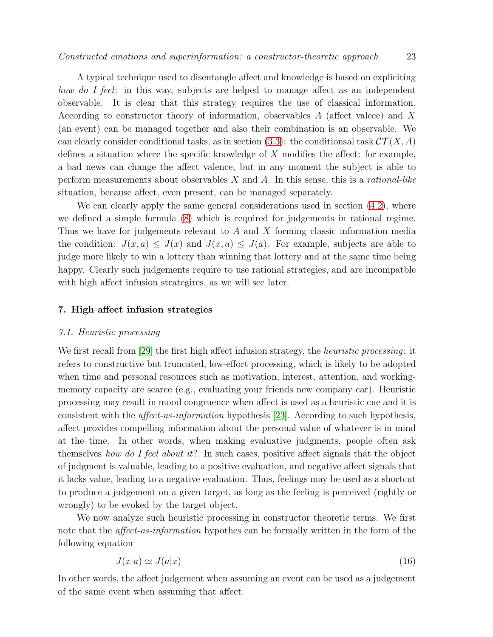A typical technique used to disentangle affect and knowledge is based on expliciting how do I feel: in this way, subjects are helped to manage affect as an independent observable. It is clear that this strategy requires the use of classical information. According to constructor theory of information, observables A (affect valece) and X (an event) can be managed together and also their combination is an observable. We can clearly consider conditional tasks, as in section [\(3.3\)](#page-11-1): the conditionsal task  $\mathcal{CT}(X, A)$ defines a situation where the specific knowledge of  $X$  modifies the affect: for example, a bad news can change the affect valence, but in any moment the subject is able to perform measurements about observables  $X$  and  $A$ . In this sense, this is a *rational-like* situation, because affect, even present, can be managed separately.

We can clearly apply the same general considerations used in section  $(4.2)$ , where we defined a simple formula [\(8\)](#page-14-0) which is required for judgements in rational regime. Thus we have for judgements relevant to A and X forming classic information media the condition:  $J(x, a) \leq J(x)$  and  $J(x, a) \leq J(a)$ . For example, subjects are able to judge more likely to win a lottery than winning that lottery and at the same time being happy. Clearly such judgements require to use rational strategies, and are incompatble with high affect infusion strategires, as we will see later.

## 7. High affect infusion strategies

#### 7.1. Heuristic processing

We first recall from [\[29\]](#page-25-24) the first high affect infusion strategy, the *heuristic processing*: it refers to constructive but truncated, low-effort processing, which is likely to be adopted when time and personal resources such as motivation, interest, attention, and workingmemory capacity are scarce (e.g., evaluating your friends new company car). Heuristic processing may result in mood congruence when affect is used as a heuristic cue and it is consistent with the affect-as-information hypothesis [\[23\]](#page-25-18). According to such hypothesis, affect provides compelling information about the personal value of whatever is in mind at the time. In other words, when making evaluative judgments, people often ask themselves how do I feel about it?. In such cases, positive affect signals that the object of judgment is valuable, leading to a positive evaluation, and negative affect signals that it lacks value, leading to a negative evaluation. Thus, feelings may be used as a shortcut to produce a judgement on a given target, as long as the feeling is perceived (rightly or wrongly) to be evoked by the target object.

We now analyze such heuristic processing in constructor theoretic terms. We first note that the *affect-as-information* hypothes can be formally written in the form of the following equation

<span id="page-22-0"></span>
$$
J(x|a) \simeq J(a|x) \tag{16}
$$

In other words, the affect judgement when assuming an event can be used as a judgement of the same event when assuming that affect.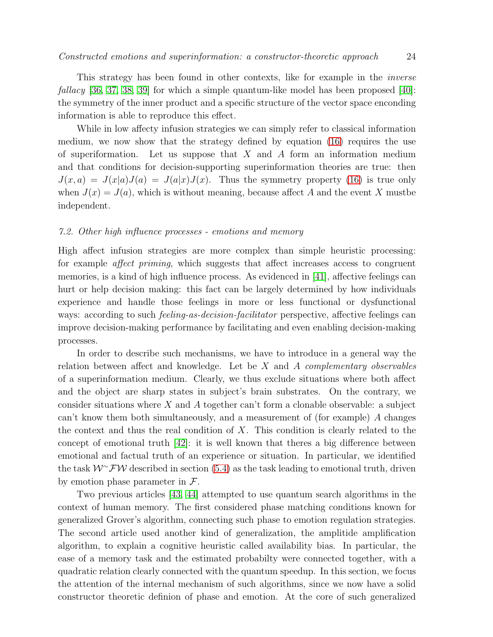This strategy has been found in other contexts, like for example in the inverse *fallacy* [\[36,](#page-26-6) [37,](#page-26-7) [38,](#page-26-8) [39\]](#page-26-9) for which a simple quantum-like model has been proposed [\[40\]](#page-26-10): the symmetry of the inner product and a specific structure of the vector space enconding information is able to reproduce this effect.

While in low affecty infusion strategies we can simply refer to classical information medium, we now show that the strategy defined by equation [\(16\)](#page-22-0) requires the use of superiformation. Let us suppose that X and A form an information medium and that conditions for decision-supporting superinformation theories are true: then  $J(x, a) = J(x|a)J(a) = J(a|x)J(x)$ . Thus the symmetry property [\(16\)](#page-22-0) is true only when  $J(x) = J(a)$ , which is without meaning, because affect A and the event X must independent.

#### 7.2. Other high influence processes - emotions and memory

High affect infusion strategies are more complex than simple heuristic processing: for example affect priming, which suggests that affect increases access to congruent memories, is a kind of high influence process. As evidenced in [\[41\]](#page-26-11), affective feelings can hurt or help decision making: this fact can be largely determined by how individuals experience and handle those feelings in more or less functional or dysfunctional ways: according to such *feeling-as-decision-facilitator* perspective, affective feelings can improve decision-making performance by facilitating and even enabling decision-making processes.

In order to describe such mechanisms, we have to introduce in a general way the relation between affect and knowledge. Let be X and A complementary observables of a superinformation medium. Clearly, we thus exclude situations where both affect and the object are sharp states in subject's brain substrates. On the contrary, we consider situations where  $X$  and  $\overline{A}$  together can't form a clonable observable: a subject can't know them both simultaneously, and a measurement of (for example) A changes the context and thus the real condition of  $X$ . This condition is clearly related to the concept of emotional truth [\[42\]](#page-26-12): it is well known that theres a big difference between emotional and factual truth of an experience or situation. In particular, we identified the task  $W^{\sim}$ FW described in section [\(5.4\)](#page-20-0) as the task leading to emotional truth, driven by emotion phase parameter in  $\mathcal{F}.$ 

Two previous articles [\[43,](#page-26-13) [44\]](#page-26-14) attempted to use quantum search algorithms in the context of human memory. The first considered phase matching conditions known for generalized Grover's algorithm, connecting such phase to emotion regulation strategies. The second article used another kind of generalization, the amplitide amplification algorithm, to explain a cognitive heuristic called availability bias. In particular, the ease of a memory task and the estimated probabilty were connected together, with a quadratic relation clearly connected with the quantum speedup. In this section, we focus the attention of the internal mechanism of such algorithms, since we now have a solid constructor theoretic definion of phase and emotion. At the core of such generalized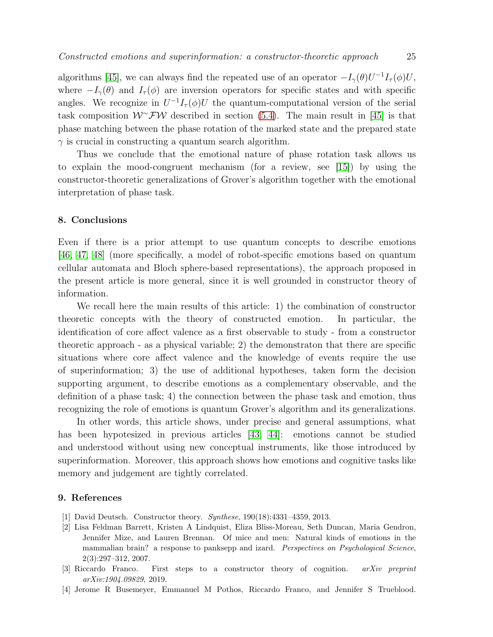algorithms [\[45\]](#page-26-15), we can always find the repeated use of an operator  $-I_{\gamma}(\theta)U^{-1}I_{\tau}(\phi)U$ , where  $-I_{\gamma}(\theta)$  and  $I_{\tau}(\phi)$  are inversion operators for specific states and with specific angles. We recognize in  $U^{-1}I_{\tau}(\phi)U$  the quantum-computational version of the serial task composition  $W^{\sim}FW$  described in section [\(5.4\)](#page-20-0). The main result in [\[45\]](#page-26-15) is that phase matching between the phase rotation of the marked state and the prepared state  $\gamma$  is crucial in constructing a quantum search algorithm.

Thus we conclude that the emotional nature of phase rotation task allows us to explain the mood-congruent mechanism (for a review, see [\[15\]](#page-25-10)) by using the constructor-theoretic generalizations of Grover's algorithm together with the emotional interpretation of phase task.

## 8. Conclusions

Even if there is a prior attempt to use quantum concepts to describe emotions [\[46,](#page-26-16) [47,](#page-26-17) [48\]](#page-26-18) (more specifically, a model of robot-specific emotions based on quantum cellular automata and Bloch sphere-based representations), the approach proposed in the present article is more general, since it is well grounded in constructor theory of information.

We recall here the main results of this article: 1) the combination of constructor theoretic concepts with the theory of constructed emotion. In particular, the identification of core affect valence as a first observable to study - from a constructor theoretic approach - as a physical variable; 2) the demonstraton that there are specific situations where core affect valence and the knowledge of events require the use of superinformation; 3) the use of additional hypotheses, taken form the decision supporting argument, to describe emotions as a complementary observable, and the definition of a phase task; 4) the connection between the phase task and emotion, thus recognizing the role of emotions is quantum Grover's algorithm and its generalizations.

In other words, this article shows, under precise and general assumptions, what has been hypotesized in previous articles [\[43,](#page-26-13) [44\]](#page-26-14): emotions cannot be studied and understood without using new conceptual instruments, like those introduced by superinformation. Moreover, this approach shows how emotions and cognitive tasks like memory and judgement are tightly correlated.

## <span id="page-24-0"></span>9. References

- <span id="page-24-1"></span>[1] David Deutsch. Constructor theory. *Synthese*, 190(18):4331–4359, 2013.
- [2] Lisa Feldman Barrett, Kristen A Lindquist, Eliza Bliss-Moreau, Seth Duncan, Maria Gendron, Jennifer Mize, and Lauren Brennan. Of mice and men: Natural kinds of emotions in the mammalian brain? a response to panksepp and izard. *Perspectives on Psychological Science*, 2(3):297–312, 2007.
- <span id="page-24-2"></span>[3] Riccardo Franco. First steps to a constructor theory of cognition. *arXiv preprint arXiv:1904.09829*, 2019.
- <span id="page-24-3"></span>[4] Jerome R Busemeyer, Emmanuel M Pothos, Riccardo Franco, and Jennifer S Trueblood.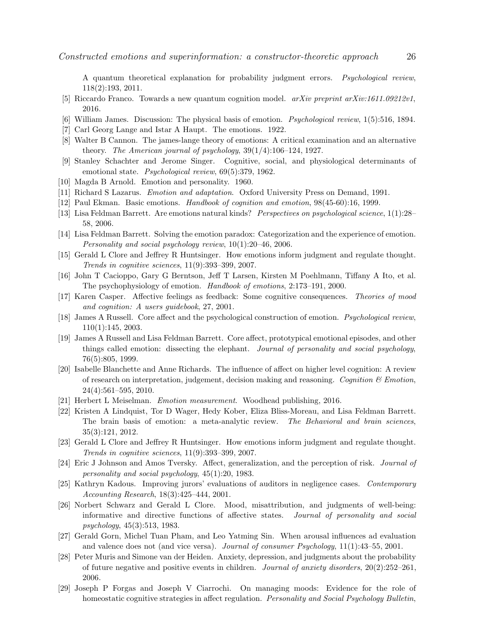A quantum theoretical explanation for probability judgment errors. *Psychological review*, 118(2):193, 2011.

- <span id="page-25-1"></span><span id="page-25-0"></span>[5] Riccardo Franco. Towards a new quantum cognition model. *arXiv preprint arXiv:1611.09212v1*, 2016.
- <span id="page-25-2"></span>[6] William James. Discussion: The physical basis of emotion. *Psychological review*, 1(5):516, 1894.
- <span id="page-25-3"></span>[7] Carl Georg Lange and Istar A Haupt. The emotions. 1922.
- <span id="page-25-4"></span>[8] Walter B Cannon. The james-lange theory of emotions: A critical examination and an alternative theory. *The American journal of psychology*, 39(1/4):106–124, 1927.
- <span id="page-25-5"></span>[9] Stanley Schachter and Jerome Singer. Cognitive, social, and physiological determinants of emotional state. *Psychological review*, 69(5):379, 1962.
- <span id="page-25-6"></span>[10] Magda B Arnold. Emotion and personality. 1960.
- <span id="page-25-7"></span>[11] Richard S Lazarus. *Emotion and adaptation*. Oxford University Press on Demand, 1991.
- <span id="page-25-8"></span>[12] Paul Ekman. Basic emotions. *Handbook of cognition and emotion*, 98(45-60):16, 1999.
- <span id="page-25-9"></span>[13] Lisa Feldman Barrett. Are emotions natural kinds? *Perspectives on psychological science*, 1(1):28– 58, 2006.
- <span id="page-25-10"></span>[14] Lisa Feldman Barrett. Solving the emotion paradox: Categorization and the experience of emotion. *Personality and social psychology review*, 10(1):20–46, 2006.
- [15] Gerald L Clore and Jeffrey R Huntsinger. How emotions inform judgment and regulate thought. *Trends in cognitive sciences*, 11(9):393–399, 2007.
- <span id="page-25-12"></span><span id="page-25-11"></span>[16] John T Cacioppo, Gary G Berntson, Jeff T Larsen, Kirsten M Poehlmann, Tiffany A Ito, et al. The psychophysiology of emotion. *Handbook of emotions*, 2:173–191, 2000.
- <span id="page-25-13"></span>[17] Karen Casper. Affective feelings as feedback: Some cognitive consequences. *Theories of mood and cognition: A users guidebook*, 27, 2001.
- [18] James A Russell. Core affect and the psychological construction of emotion. *Psychological review*, 110(1):145, 2003.
- <span id="page-25-14"></span>[19] James A Russell and Lisa Feldman Barrett. Core affect, prototypical emotional episodes, and other things called emotion: dissecting the elephant. *Journal of personality and social psychology*, 76(5):805, 1999.
- <span id="page-25-15"></span>[20] Isabelle Blanchette and Anne Richards. The influence of affect on higher level cognition: A review of research on interpretation, judgement, decision making and reasoning. *Cognition & Emotion*, 24(4):561–595, 2010.
- <span id="page-25-17"></span><span id="page-25-16"></span>[21] Herbert L Meiselman. *Emotion measurement*. Woodhead publishing, 2016.
- [22] Kristen A Lindquist, Tor D Wager, Hedy Kober, Eliza Bliss-Moreau, and Lisa Feldman Barrett. The brain basis of emotion: a meta-analytic review. *The Behavioral and brain sciences*, 35(3):121, 2012.
- <span id="page-25-18"></span>[23] Gerald L Clore and Jeffrey R Huntsinger. How emotions inform judgment and regulate thought. *Trends in cognitive sciences*, 11(9):393–399, 2007.
- <span id="page-25-19"></span>[24] Eric J Johnson and Amos Tversky. Affect, generalization, and the perception of risk. *Journal of personality and social psychology*, 45(1):20, 1983.
- <span id="page-25-20"></span>[25] Kathryn Kadous. Improving jurors' evaluations of auditors in negligence cases. *Contemporary Accounting Research*, 18(3):425–444, 2001.
- <span id="page-25-21"></span>[26] Norbert Schwarz and Gerald L Clore. Mood, misattribution, and judgments of well-being: informative and directive functions of affective states. *Journal of personality and social psychology*, 45(3):513, 1983.
- <span id="page-25-23"></span><span id="page-25-22"></span>[27] Gerald Gorn, Michel Tuan Pham, and Leo Yatming Sin. When arousal influences ad evaluation and valence does not (and vice versa). *Journal of consumer Psychology*, 11(1):43–55, 2001.
- [28] Peter Muris and Simone van der Heiden. Anxiety, depression, and judgments about the probability of future negative and positive events in children. *Journal of anxiety disorders*, 20(2):252–261, 2006.
- <span id="page-25-24"></span>[29] Joseph P Forgas and Joseph V Ciarrochi. On managing moods: Evidence for the role of homeostatic cognitive strategies in affect regulation. *Personality and Social Psychology Bulletin*,